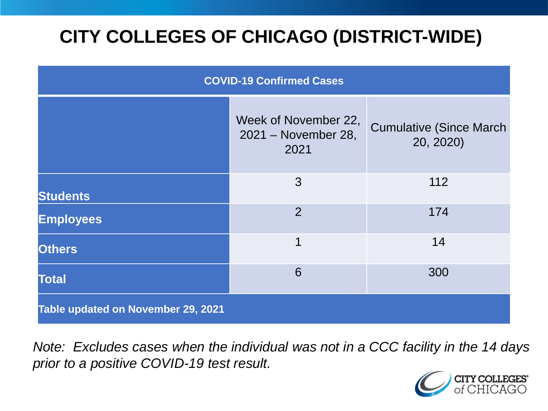# **CITY COLLEGES OF CHICAGO (DISTRICT-WIDE)**

| <b>COVID-19 Confirmed Cases</b>    |                                                     |                                              |
|------------------------------------|-----------------------------------------------------|----------------------------------------------|
|                                    | Week of November 22,<br>2021 - November 28,<br>2021 | <b>Cumulative (Since March)</b><br>20, 2020) |
| <b>Students</b>                    | 3                                                   | 112                                          |
| <b>Employees</b>                   | $\overline{2}$                                      | 174                                          |
| <b>Others</b>                      | 1                                                   | 14                                           |
| <b>Total</b>                       | 6                                                   | 300                                          |
| Table updated on November 29, 2021 |                                                     |                                              |

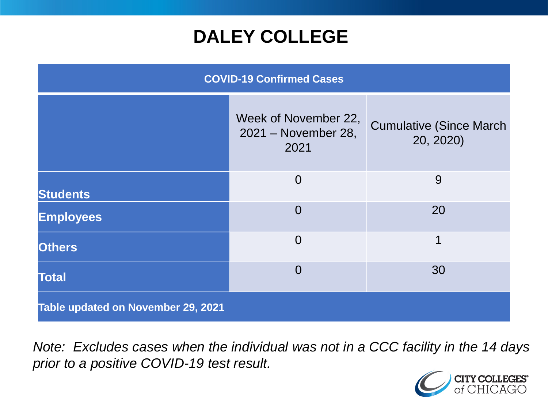### **DALEY COLLEGE**

| <b>COVID-19 Confirmed Cases</b>    |                                                     |                                              |
|------------------------------------|-----------------------------------------------------|----------------------------------------------|
|                                    | Week of November 22,<br>2021 - November 28,<br>2021 | <b>Cumulative (Since March)</b><br>20, 2020) |
| <b>Students</b>                    | $\overline{0}$                                      | 9                                            |
| <b>Employees</b>                   | $\Omega$                                            | 20                                           |
| <b>Others</b>                      | $\overline{0}$                                      | $\mathbf 1$                                  |
| <b>Total</b>                       | $\Omega$                                            | 30                                           |
| Table updated on November 29, 2021 |                                                     |                                              |

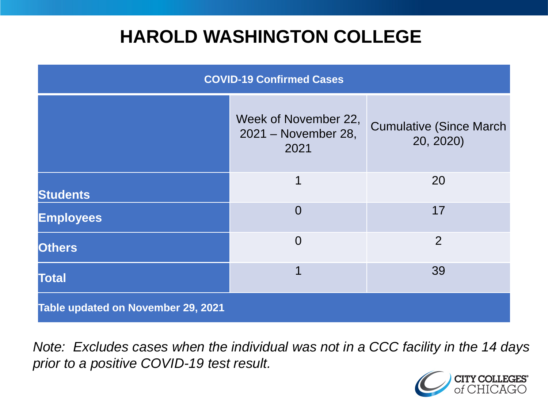### **HAROLD WASHINGTON COLLEGE**

| <b>COVID-19 Confirmed Cases</b>    |                                                     |                                              |
|------------------------------------|-----------------------------------------------------|----------------------------------------------|
|                                    | Week of November 22,<br>2021 - November 28,<br>2021 | <b>Cumulative (Since March)</b><br>20, 2020) |
| <b>Students</b>                    | 1                                                   | 20                                           |
| <b>Employees</b>                   | $\Omega$                                            | 17                                           |
| <b>Others</b>                      | $\overline{0}$                                      | $\overline{2}$                               |
| <b>Total</b>                       | 1                                                   | 39                                           |
| Table updated on November 29, 2021 |                                                     |                                              |

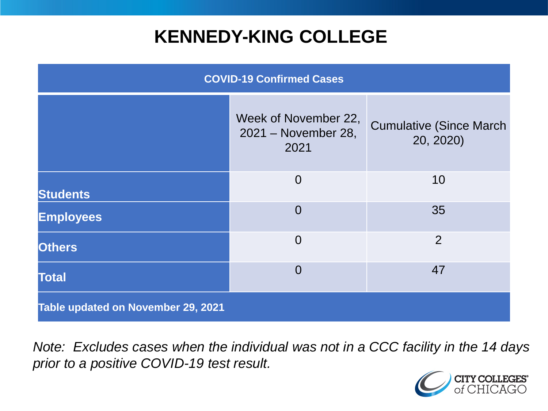### **KENNEDY-KING COLLEGE**

| <b>COVID-19 Confirmed Cases</b>    |                                                     |                                              |
|------------------------------------|-----------------------------------------------------|----------------------------------------------|
|                                    | Week of November 22,<br>2021 - November 28,<br>2021 | <b>Cumulative (Since March)</b><br>20, 2020) |
| <b>Students</b>                    | $\overline{0}$                                      | 10                                           |
| <b>Employees</b>                   | $\Omega$                                            | 35                                           |
| <b>Others</b>                      | $\overline{0}$                                      | $\overline{2}$                               |
| <b>Total</b>                       | $\overline{0}$                                      | 47                                           |
| Table updated on November 29, 2021 |                                                     |                                              |

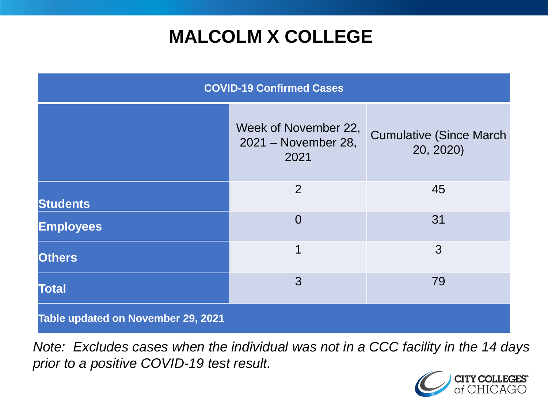# **MALCOLM X COLLEGE**

| <b>COVID-19 Confirmed Cases</b>    |                                                     |                                              |
|------------------------------------|-----------------------------------------------------|----------------------------------------------|
|                                    | Week of November 22,<br>2021 - November 28,<br>2021 | <b>Cumulative (Since March)</b><br>20, 2020) |
| <b>Students</b>                    | 2                                                   | 45                                           |
| <b>Employees</b>                   | $\Omega$                                            | 31                                           |
| <b>Others</b>                      | 1                                                   | 3                                            |
| <b>Total</b>                       | 3                                                   | 79                                           |
| Table updated on November 29, 2021 |                                                     |                                              |

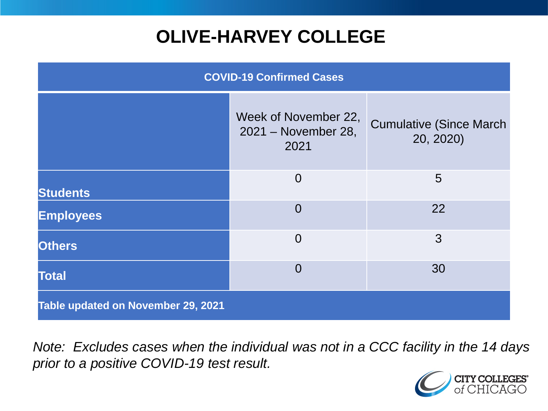# **OLIVE-HARVEY COLLEGE**

| <b>COVID-19 Confirmed Cases</b>    |                                                     |                                              |
|------------------------------------|-----------------------------------------------------|----------------------------------------------|
|                                    | Week of November 22,<br>2021 - November 28,<br>2021 | <b>Cumulative (Since March)</b><br>20, 2020) |
| <b>Students</b>                    | $\overline{0}$                                      | 5                                            |
| <b>Employees</b>                   | $\Omega$                                            | 22                                           |
| <b>Others</b>                      | $\overline{0}$                                      | 3                                            |
| <b>Total</b>                       | $\Omega$                                            | 30                                           |
| Table updated on November 29, 2021 |                                                     |                                              |

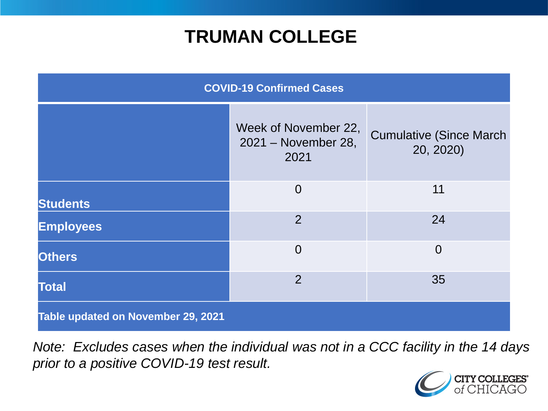### **TRUMAN COLLEGE**

| <b>COVID-19 Confirmed Cases</b>    |                                                     |                                              |
|------------------------------------|-----------------------------------------------------|----------------------------------------------|
|                                    | Week of November 22,<br>2021 - November 28,<br>2021 | <b>Cumulative (Since March)</b><br>20, 2020) |
| <b>Students</b>                    | $\overline{0}$                                      | 11                                           |
| <b>Employees</b>                   | $\overline{2}$                                      | 24                                           |
| <b>Others</b>                      | $\overline{0}$                                      | $\overline{0}$                               |
| <b>Total</b>                       | $\overline{2}$                                      | 35                                           |
| Table updated on November 29, 2021 |                                                     |                                              |

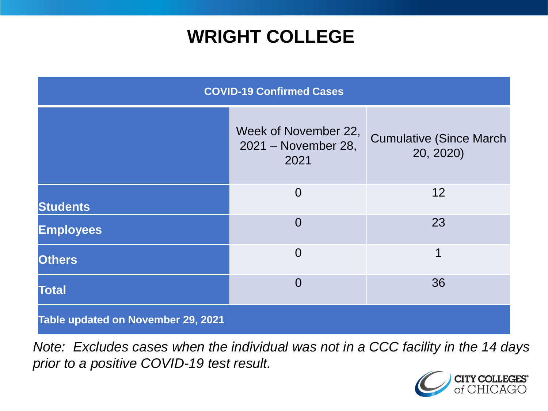### **WRIGHT COLLEGE**

| <b>COVID-19 Confirmed Cases</b>    |                                                     |                                              |
|------------------------------------|-----------------------------------------------------|----------------------------------------------|
|                                    | Week of November 22,<br>2021 - November 28,<br>2021 | <b>Cumulative (Since March)</b><br>20, 2020) |
| <b>Students</b>                    | $\overline{0}$                                      | 12                                           |
| <b>Employees</b>                   | $\overline{0}$                                      | 23                                           |
| <b>Others</b>                      | $\overline{0}$                                      | 1                                            |
| <b>Total</b>                       | $\overline{0}$                                      | 36                                           |
| Table updated on November 29, 2021 |                                                     |                                              |